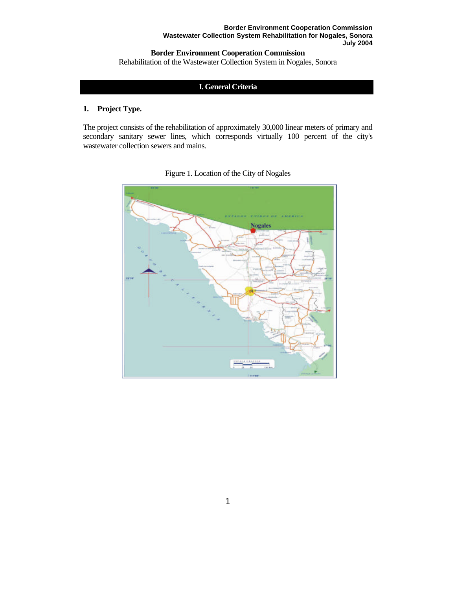# **Border Environment Cooperation Commission**

Rehabilitation of the Wastewater Collection System in Nogales, Sonora

# **I. General Criteria**

## **1. Project Type.**

The project consists of the rehabilitation of approximately 30,000 linear meters of primary and secondary sanitary sewer lines, which corresponds virtually 100 percent of the city's wastewater collection sewers and mains.



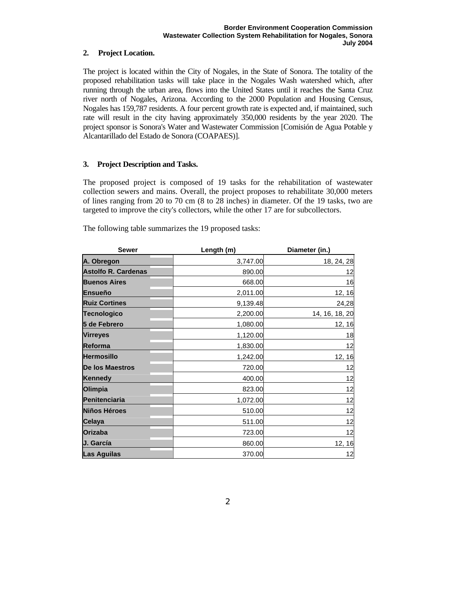## **2. Project Location.**

The project is located within the City of Nogales, in the State of Sonora. The totality of the proposed rehabilitation tasks will take place in the Nogales Wash watershed which, after running through the urban area, flows into the United States until it reaches the Santa Cruz river north of Nogales, Arizona. According to the 2000 Population and Housing Census, Nogales has 159,787 residents. A four percent growth rate is expected and, if maintained, such rate will result in the city having approximately 350,000 residents by the year 2020. The project sponsor is Sonora's Water and Wastewater Commission [Comisión de Agua Potable y Alcantarillado del Estado de Sonora (COAPAES)].

## **3. Project Description and Tasks.**

The proposed project is composed of 19 tasks for the rehabilitation of wastewater collection sewers and mains. Overall, the project proposes to rehabilitate 30,000 meters of lines ranging from 20 to 70 cm (8 to 28 inches) in diameter. Of the 19 tasks, two are targeted to improve the city's collectors, while the other 17 are for subcollectors.

The following table summarizes the 19 proposed tasks:

| <b>Sewer</b>               | Length (m) | Diameter (in.) |  |
|----------------------------|------------|----------------|--|
| A. Obregon                 | 3,747.00   | 18, 24, 28     |  |
| <b>Astolfo R. Cardenas</b> | 890.00     | 12             |  |
| <b>Buenos Aires</b>        | 668.00     | 16             |  |
| <b>Ensueño</b>             | 2,011.00   | 12, 16         |  |
| <b>Ruiz Cortines</b>       | 9,139.48   | 24,28          |  |
| <b>Tecnologico</b>         | 2,200.00   | 14, 16, 18, 20 |  |
| 5 de Febrero               | 1,080.00   | 12, 16         |  |
| <b>Virreyes</b>            | 1,120.00   | 18             |  |
| <b>Reforma</b>             | 1,830.00   | 12             |  |
| <b>Hermosillo</b>          | 1,242.00   | 12, 16         |  |
| De los Maestros            | 720.00     | 12             |  |
| <b>Kennedy</b>             | 400.00     | 12             |  |
| Olimpia                    | 823.00     | 12             |  |
| Penitenciaria              | 1,072.00   | 12             |  |
| Niños Héroes               | 510.00     | 12             |  |
| Celaya                     | 511.00     | 12             |  |
| <b>Orizaba</b>             | 723.00     | 12             |  |
| J. García                  | 860.00     | 12, 16         |  |
| <b>Las Aguilas</b>         | 370.00     | 12             |  |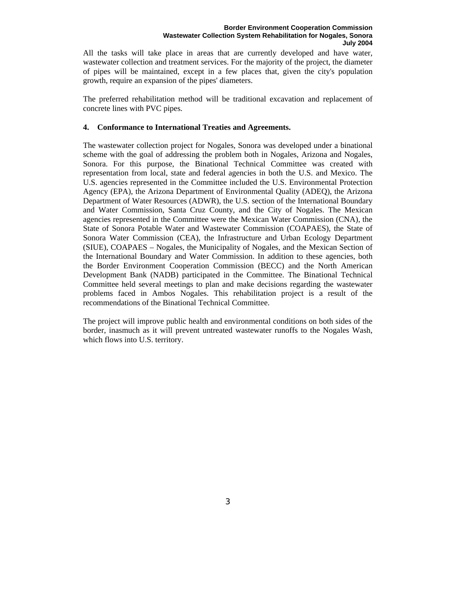All the tasks will take place in areas that are currently developed and have water, wastewater collection and treatment services. For the majority of the project, the diameter of pipes will be maintained, except in a few places that, given the city's population growth, require an expansion of the pipes' diameters.

The preferred rehabilitation method will be traditional excavation and replacement of concrete lines with PVC pipes.

## **4. Conformance to International Treaties and Agreements.**

The wastewater collection project for Nogales, Sonora was developed under a binational scheme with the goal of addressing the problem both in Nogales, Arizona and Nogales, Sonora. For this purpose, the Binational Technical Committee was created with representation from local, state and federal agencies in both the U.S. and Mexico. The U.S. agencies represented in the Committee included the U.S. Environmental Protection Agency (EPA), the Arizona Department of Environmental Quality (ADEQ), the Arizona Department of Water Resources (ADWR), the U.S. section of the International Boundary and Water Commission, Santa Cruz County, and the City of Nogales. The Mexican agencies represented in the Committee were the Mexican Water Commission (CNA), the State of Sonora Potable Water and Wastewater Commission (COAPAES), the State of Sonora Water Commission (CEA), the Infrastructure and Urban Ecology Department (SIUE), COAPAES – Nogales, the Municipality of Nogales, and the Mexican Section of the International Boundary and Water Commission. In addition to these agencies, both the Border Environment Cooperation Commission (BECC) and the North American Development Bank (NADB) participated in the Committee. The Binational Technical Committee held several meetings to plan and make decisions regarding the wastewater problems faced in Ambos Nogales. This rehabilitation project is a result of the recommendations of the Binational Technical Committee.

The project will improve public health and environmental conditions on both sides of the border, inasmuch as it will prevent untreated wastewater runoffs to the Nogales Wash, which flows into U.S. territory.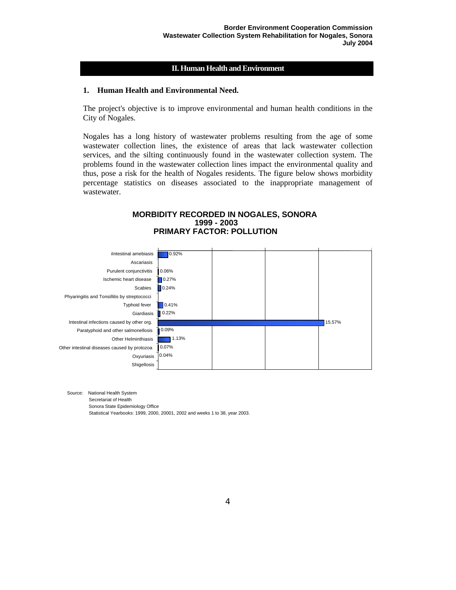## **II. Human Health and Environment**

#### **1. Human Health and Environmental Need.**

The project's objective is to improve environmental and human health conditions in the City of Nogales.

Nogales has a long history of wastewater problems resulting from the age of some wastewater collection lines, the existence of areas that lack wastewater collection services, and the silting continuously found in the wastewater collection system. The problems found in the wastewater collection lines impact the environmental quality and thus, pose a risk for the health of Nogales residents. The figure below shows morbidity percentage statistics on diseases associated to the inappropriate management of wastewater.

#### **MORBIDITY RECORDED IN NOGALES, SONORA 1999 - 2003 PRIMARY FACTOR: POLLUTION**



Source: National Health System

Secretariat of Health

Sonora State Epidemiology Office

Statistical Yearbooks: 1999, 2000, 20001, 2002 and weeks 1 to 38, year 2003.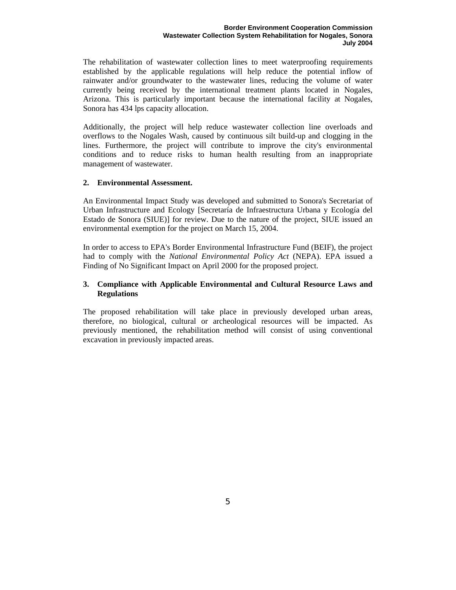The rehabilitation of wastewater collection lines to meet waterproofing requirements established by the applicable regulations will help reduce the potential inflow of rainwater and/or groundwater to the wastewater lines, reducing the volume of water currently being received by the international treatment plants located in Nogales, Arizona. This is particularly important because the international facility at Nogales, Sonora has 434 lps capacity allocation.

Additionally, the project will help reduce wastewater collection line overloads and overflows to the Nogales Wash, caused by continuous silt build-up and clogging in the lines. Furthermore, the project will contribute to improve the city's environmental conditions and to reduce risks to human health resulting from an inappropriate management of wastewater.

## **2. Environmental Assessment.**

An Environmental Impact Study was developed and submitted to Sonora's Secretariat of Urban Infrastructure and Ecology [Secretaría de Infraestructura Urbana y Ecología del Estado de Sonora (SIUE)] for review. Due to the nature of the project, SIUE issued an environmental exemption for the project on March 15, 2004.

In order to access to EPA's Border Environmental Infrastructure Fund (BEIF), the project had to comply with the *National Environmental Policy Act* (NEPA). EPA issued a Finding of No Significant Impact on April 2000 for the proposed project.

## **3. Compliance with Applicable Environmental and Cultural Resource Laws and Regulations**

The proposed rehabilitation will take place in previously developed urban areas, therefore, no biological, cultural or archeological resources will be impacted. As previously mentioned, the rehabilitation method will consist of using conventional excavation in previously impacted areas.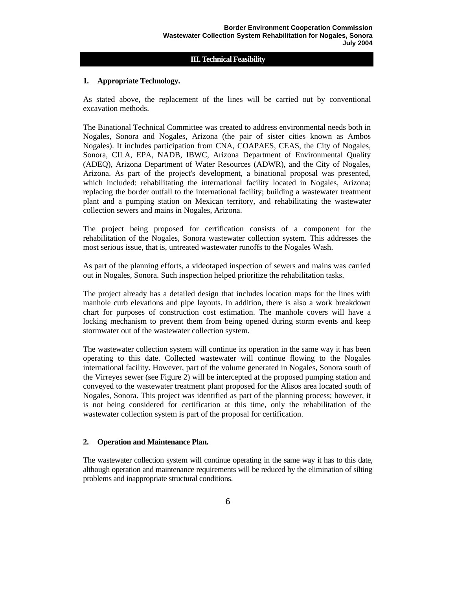## **III. Technical Feasibility**

## **1. Appropriate Technology.**

As stated above, the replacement of the lines will be carried out by conventional excavation methods.

The Binational Technical Committee was created to address environmental needs both in Nogales, Sonora and Nogales, Arizona (the pair of sister cities known as Ambos Nogales). It includes participation from CNA, COAPAES, CEAS, the City of Nogales, Sonora, CILA, EPA, NADB, IBWC, Arizona Department of Environmental Quality (ADEQ), Arizona Department of Water Resources (ADWR), and the City of Nogales, Arizona. As part of the project's development, a binational proposal was presented, which included: rehabilitating the international facility located in Nogales, Arizona; replacing the border outfall to the international facility; building a wastewater treatment plant and a pumping station on Mexican territory, and rehabilitating the wastewater collection sewers and mains in Nogales, Arizona.

The project being proposed for certification consists of a component for the rehabilitation of the Nogales, Sonora wastewater collection system. This addresses the most serious issue, that is, untreated wastewater runoffs to the Nogales Wash.

As part of the planning efforts, a videotaped inspection of sewers and mains was carried out in Nogales, Sonora. Such inspection helped prioritize the rehabilitation tasks.

The project already has a detailed design that includes location maps for the lines with manhole curb elevations and pipe layouts. In addition, there is also a work breakdown chart for purposes of construction cost estimation. The manhole covers will have a locking mechanism to prevent them from being opened during storm events and keep stormwater out of the wastewater collection system.

The wastewater collection system will continue its operation in the same way it has been operating to this date. Collected wastewater will continue flowing to the Nogales international facility. However, part of the volume generated in Nogales, Sonora south of the Virreyes sewer (see Figure 2) will be intercepted at the proposed pumping station and conveyed to the wastewater treatment plant proposed for the Alisos area located south of Nogales, Sonora. This project was identified as part of the planning process; however, it is not being considered for certification at this time, only the rehabilitation of the wastewater collection system is part of the proposal for certification.

## **2. Operation and Maintenance Plan.**

The wastewater collection system will continue operating in the same way it has to this date, although operation and maintenance requirements will be reduced by the elimination of silting problems and inappropriate structural conditions.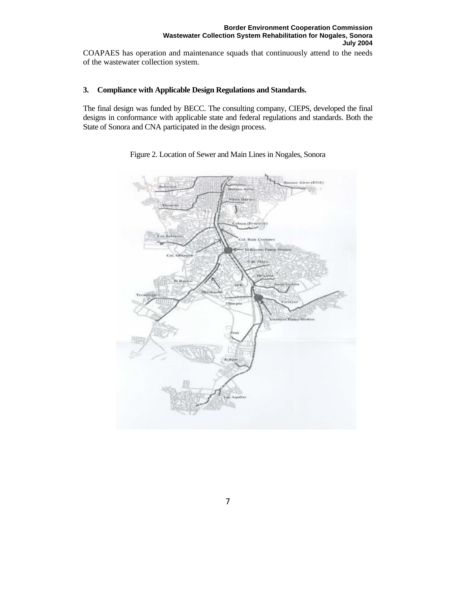COAPAES has operation and maintenance squads that continuously attend to the needs of the wastewater collection system.

## **3. Compliance with Applicable Design Regulations and Standards.**

The final design was funded by BECC. The consulting company, CIEPS, developed the final designs in conformance with applicable state and federal regulations and standards. Both the State of Sonora and CNA participated in the design process.



Figure 2. Location of Sewer and Main Lines in Nogales, Sonora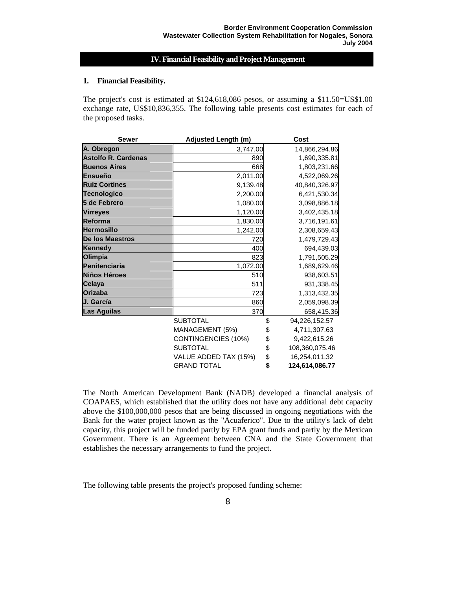## **IV. Financial Feasibility and Project Management**

#### **1. Financial Feasibility.**

The project's cost is estimated at \$124,618,086 pesos, or assuming a \$11.50=US\$1.00 exchange rate, US\$10,836,355. The following table presents cost estimates for each of the proposed tasks.

| <b>Sewer</b>               | Adjusted Length (m)   |    | Cost           |  |  |
|----------------------------|-----------------------|----|----------------|--|--|
| A. Obregon                 | 3,747.00              |    | 14,866,294.86  |  |  |
| <b>Astolfo R. Cardenas</b> | 890                   |    | 1,690,335.81   |  |  |
| <b>Buenos Aires</b>        | 668                   |    | 1,803,231.66   |  |  |
| Ensueño                    | 2,011.00              |    | 4,522,069.26   |  |  |
| <b>Ruiz Cortines</b>       | 9,139.48              |    | 40,840,326.97  |  |  |
| <b>Tecnologico</b>         | 2,200.00              |    | 6,421,530.34   |  |  |
| 5 de Febrero               | 1,080.00              |    | 3,098,886.18   |  |  |
| <b>Virreyes</b>            | 1,120.00              |    | 3,402,435.18   |  |  |
| <b>Reforma</b>             | 1,830.00              |    | 3,716,191.61   |  |  |
| <b>Hermosillo</b>          | 1,242.00              |    | 2,308,659.43   |  |  |
| De los Maestros            | 720                   |    | 1,479,729.43   |  |  |
| <b>Kennedy</b>             | 400                   |    | 694,439.03     |  |  |
| <b>Olimpia</b>             | 823                   |    | 1,791,505.29   |  |  |
| <b>Penitenciaria</b>       | 1,072.00              |    | 1,689,629.46   |  |  |
| <b>Niños Héroes</b>        | 510                   |    | 938,603.51     |  |  |
| Celaya                     | 511                   |    | 931,338.45     |  |  |
| <b>Orizaba</b>             | 723                   |    | 1,313,432.35   |  |  |
| J. García                  | 860                   |    | 2,059,098.39   |  |  |
| <b>Las Aguilas</b>         | 370                   |    | 658,415.36     |  |  |
|                            | <b>SUBTOTAL</b>       | \$ | 94,226,152.57  |  |  |
|                            | MANAGEMENT (5%)       |    | 4,711,307.63   |  |  |
|                            | CONTINGENCIES (10%)   | \$ | 9,422,615.26   |  |  |
|                            | <b>SUBTOTAL</b>       | \$ | 108,360,075.46 |  |  |
|                            | VALUE ADDED TAX (15%) |    | 16,254,011.32  |  |  |
| <b>GRAND TOTAL</b>         |                       | \$ | 124,614,086.77 |  |  |

The North American Development Bank (NADB) developed a financial analysis of COAPAES, which established that the utility does not have any additional debt capacity above the \$100,000,000 pesos that are being discussed in ongoing negotiations with the Bank for the water project known as the "Acuaferico". Due to the utility's lack of debt capacity, this project will be funded partly by EPA grant funds and partly by the Mexican Government. There is an Agreement between CNA and the State Government that establishes the necessary arrangements to fund the project.

The following table presents the project's proposed funding scheme: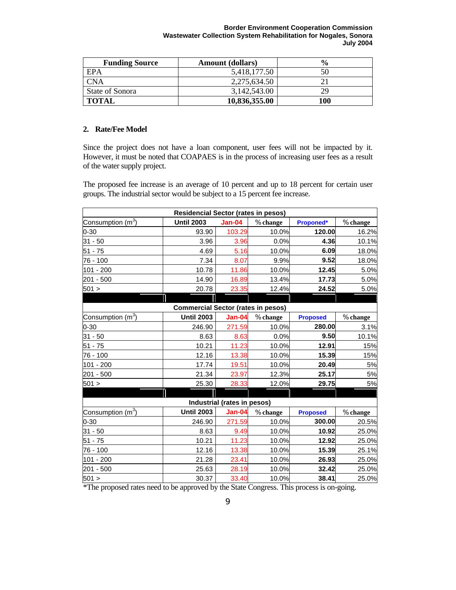| <b>Funding Source</b> | <b>Amount</b> (dollars) | $\frac{6}{6}$ |  |
|-----------------------|-------------------------|---------------|--|
| EPA                   | 5,418,177.50            | 50            |  |
| <b>CNA</b>            | 2,275,634.50            |               |  |
| State of Sonora       | 3,142,543.00            | 29            |  |
| <b>TOTAL</b>          | 10,836,355.00           | 100           |  |

## **2. Rate/Fee Model**

Since the project does not have a loan component, user fees will not be impacted by it. However, it must be noted that COAPAES is in the process of increasing user fees as a result of the water supply project.

The proposed fee increase is an average of 10 percent and up to 18 percent for certain user groups. The industrial sector would be subject to a 15 percent fee increase.

| <b>Residencial Sector (rates in pesos)</b> |                   |                             |          |                 |          |  |  |  |
|--------------------------------------------|-------------------|-----------------------------|----------|-----------------|----------|--|--|--|
| Consumption (m <sup>3</sup> )              | <b>Until 2003</b> | <b>Jan-04</b>               | % change | Proponed*       | % change |  |  |  |
| $0 - 30$                                   | 93.90             | 103.29                      | 10.0%    | 120.00          | 16.2%    |  |  |  |
| $31 - 50$                                  | 3.96              | 3.96                        | 0.0%     | 4.36            | 10.1%    |  |  |  |
| 51 - 75                                    | 4.69              | 5.16                        | 10.0%    | 6.09            | 18.0%    |  |  |  |
| 76 - 100                                   | 7.34              | 8.07                        | 9.9%     | 9.52            | 18.0%    |  |  |  |
| $101 - 200$                                | 10.78             | 11.86                       | 10.0%    | 12.45           | 5.0%     |  |  |  |
| 201 - 500                                  | 14.90             | 16.89                       | 13.4%    | 17.73           | 5.0%     |  |  |  |
| 501 >                                      | 20.78             | 23.35                       | 12.4%    | 24.52           | 5.0%     |  |  |  |
|                                            |                   |                             |          |                 |          |  |  |  |
| <b>Commercial Sector (rates in pesos)</b>  |                   |                             |          |                 |          |  |  |  |
| Consumption (m <sup>3</sup> )              | <b>Until 2003</b> | <b>Jan-04</b>               | % change | <b>Proposed</b> | % change |  |  |  |
| $0 - 30$                                   | 246.90            | 271.59                      | 10.0%    | 280.00          | 3.1%     |  |  |  |
| 31 - 50                                    | 8.63              | 8.63                        | 0.0%     | 9.50            | 10.1%    |  |  |  |
| $51 - 75$                                  | 10.21             | 11.23                       | 10.0%    | 12.91           | 15%      |  |  |  |
| 76 - 100                                   | 12.16             | 13.38                       | 10.0%    | 15.39           | 15%      |  |  |  |
| $101 - 200$                                | 17.74             | 19.51                       | 10.0%    | 20.49           | 5%       |  |  |  |
| 201 - 500                                  | 21.34             | 23.97                       | 12.3%    | 25.17           | 5%       |  |  |  |
| 501 >                                      | 25.30             | 28.33                       | 12.0%    | 29.75           | 5%       |  |  |  |
|                                            |                   |                             |          |                 |          |  |  |  |
|                                            |                   | Industrial (rates in pesos) |          |                 |          |  |  |  |
| Consumption (m <sup>3</sup> )              | <b>Until 2003</b> | <b>Jan-04</b>               | % change | <b>Proposed</b> | % change |  |  |  |
| $0 - 30$                                   | 246.90            | 271.59                      | 10.0%    | 300.00          | 20.5%    |  |  |  |
| $31 - 50$                                  | 8.63              | 9.49                        | 10.0%    | 10.92           | 25.0%    |  |  |  |
| 51 - 75                                    | 10.21             | 11.23                       | 10.0%    | 12.92           | 25.0%    |  |  |  |
| 76 - 100                                   | 12.16             | 13.38                       | 10.0%    | 15.39           | 25.1%    |  |  |  |
| $101 - 200$                                | 21.28             | 23.41                       | 10.0%    | 26.93           | 25.0%    |  |  |  |
| 201 - 500                                  | 25.63             | 28.19                       | 10.0%    | 32.42           | 25.0%    |  |  |  |
| 501 >                                      | 30.37             | 33.40                       | 10.0%    | 38.41           | 25.0%    |  |  |  |

\*The proposed rates need to be approved by the State Congress. This process is on-going.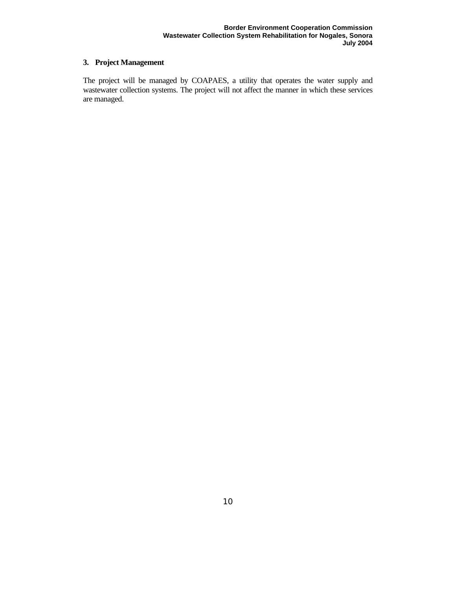# **3. Project Management**

The project will be managed by COAPAES, a utility that operates the water supply and wastewater collection systems. The project will not affect the manner in which these services are managed.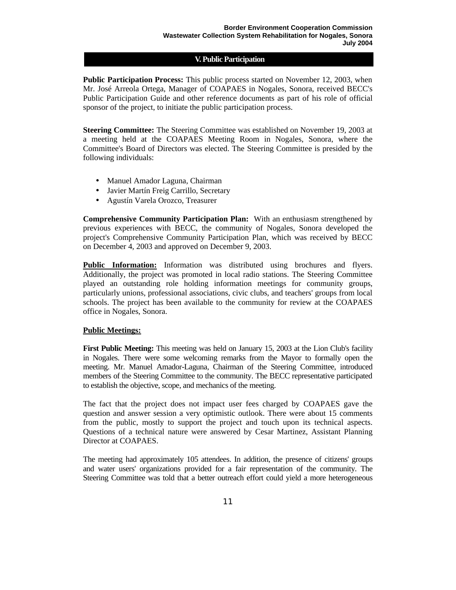## **V. Public Participation**

**Public Participation Process:** This public process started on November 12, 2003, when Mr. José Arreola Ortega, Manager of COAPAES in Nogales, Sonora, received BECC's Public Participation Guide and other reference documents as part of his role of official sponsor of the project, to initiate the public participation process.

**Steering Committee:** The Steering Committee was established on November 19, 2003 at a meeting held at the COAPAES Meeting Room in Nogales, Sonora, where the Committee's Board of Directors was elected. The Steering Committee is presided by the following individuals:

- Manuel Amador Laguna, Chairman
- Javier Martín Freig Carrillo, Secretary
- Agustín Varela Orozco, Treasurer

**Comprehensive Community Participation Plan:** With an enthusiasm strengthened by previous experiences with BECC, the community of Nogales, Sonora developed the project's Comprehensive Community Participation Plan, which was received by BECC on December 4, 2003 and approved on December 9, 2003.

**Public Information:** Information was distributed using brochures and flyers. Additionally, the project was promoted in local radio stations. The Steering Committee played an outstanding role holding information meetings for community groups, particularly unions, professional associations, civic clubs, and teachers' groups from local schools. The project has been available to the community for review at the COAPAES office in Nogales, Sonora.

## **Public Meetings:**

**First Public Meeting:** This meeting was held on January 15, 2003 at the Lion Club's facility in Nogales. There were some welcoming remarks from the Mayor to formally open the meeting. Mr. Manuel Amador-Laguna, Chairman of the Steering Committee, introduced members of the Steering Committee to the community. The BECC representative participated to establish the objective, scope, and mechanics of the meeting.

The fact that the project does not impact user fees charged by COAPAES gave the question and answer session a very optimistic outlook. There were about 15 comments from the public, mostly to support the project and touch upon its technical aspects. Questions of a technical nature were answered by Cesar Martinez, Assistant Planning Director at COAPAES.

The meeting had approximately 105 attendees. In addition, the presence of citizens' groups and water users' organizations provided for a fair representation of the community. The Steering Committee was told that a better outreach effort could yield a more heterogeneous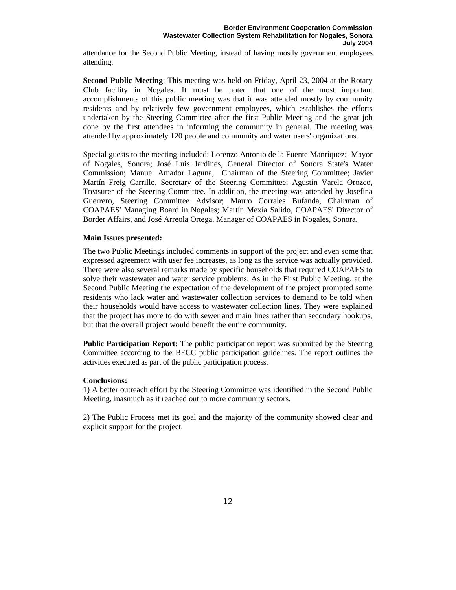attendance for the Second Public Meeting, instead of having mostly government employees attending.

**Second Public Meeting**: This meeting was held on Friday, April 23, 2004 at the Rotary Club facility in Nogales. It must be noted that one of the most important accomplishments of this public meeting was that it was attended mostly by community residents and by relatively few government employees, which establishes the efforts undertaken by the Steering Committee after the first Public Meeting and the great job done by the first attendees in informing the community in general. The meeting was attended by approximately 120 people and community and water users' organizations.

Special guests to the meeting included: Lorenzo Antonio de la Fuente Manríquez; Mayor of Nogales, Sonora; José Luis Jardines, General Director of Sonora State's Water Commission; Manuel Amador Laguna, Chairman of the Steering Committee; Javier Martín Freig Carrillo, Secretary of the Steering Committee; Agustín Varela Orozco, Treasurer of the Steering Committee. In addition, the meeting was attended by Josefina Guerrero, Steering Committee Advisor; Mauro Corrales Bufanda, Chairman of COAPAES' Managing Board in Nogales; Martín Mexía Salido, COAPAES' Director of Border Affairs, and José Arreola Ortega, Manager of COAPAES in Nogales, Sonora.

## **Main Issues presented:**

The two Public Meetings included comments in support of the project and even some that expressed agreement with user fee increases, as long as the service was actually provided. There were also several remarks made by specific households that required COAPAES to solve their wastewater and water service problems. As in the First Public Meeting, at the Second Public Meeting the expectation of the development of the project prompted some residents who lack water and wastewater collection services to demand to be told when their households would have access to wastewater collection lines. They were explained that the project has more to do with sewer and main lines rather than secondary hookups, but that the overall project would benefit the entire community.

**Public Participation Report:** The public participation report was submitted by the Steering Committee according to the BECC public participation guidelines. The report outlines the activities executed as part of the public participation process.

#### **Conclusions:**

1) A better outreach effort by the Steering Committee was identified in the Second Public Meeting, inasmuch as it reached out to more community sectors.

2) The Public Process met its goal and the majority of the community showed clear and explicit support for the project.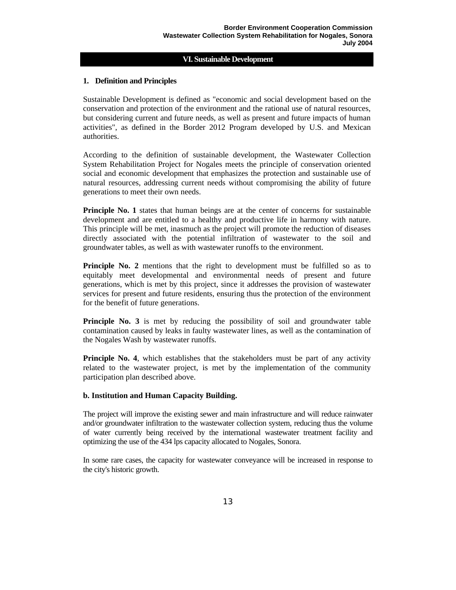## **VI. Sustainable Development**

## **1. Definition and Principles**

Sustainable Development is defined as "economic and social development based on the conservation and protection of the environment and the rational use of natural resources, but considering current and future needs, as well as present and future impacts of human activities", as defined in the Border 2012 Program developed by U.S. and Mexican authorities.

According to the definition of sustainable development, the Wastewater Collection System Rehabilitation Project for Nogales meets the principle of conservation oriented social and economic development that emphasizes the protection and sustainable use of natural resources, addressing current needs without compromising the ability of future generations to meet their own needs.

**Principle No. 1** states that human beings are at the center of concerns for sustainable development and are entitled to a healthy and productive life in harmony with nature. This principle will be met, inasmuch as the project will promote the reduction of diseases directly associated with the potential infiltration of wastewater to the soil and groundwater tables, as well as with wastewater runoffs to the environment.

**Principle No. 2** mentions that the right to development must be fulfilled so as to equitably meet developmental and environmental needs of present and future generations, which is met by this project, since it addresses the provision of wastewater services for present and future residents, ensuring thus the protection of the environment for the benefit of future generations.

**Principle No. 3** is met by reducing the possibility of soil and groundwater table contamination caused by leaks in faulty wastewater lines, as well as the contamination of the Nogales Wash by wastewater runoffs.

**Principle No. 4,** which establishes that the stakeholders must be part of any activity related to the wastewater project, is met by the implementation of the community participation plan described above.

## **b. Institution and Human Capacity Building.**

The project will improve the existing sewer and main infrastructure and will reduce rainwater and/or groundwater infiltration to the wastewater collection system, reducing thus the volume of water currently being received by the international wastewater treatment facility and optimizing the use of the 434 lps capacity allocated to Nogales, Sonora.

In some rare cases, the capacity for wastewater conveyance will be increased in response to the city's historic growth.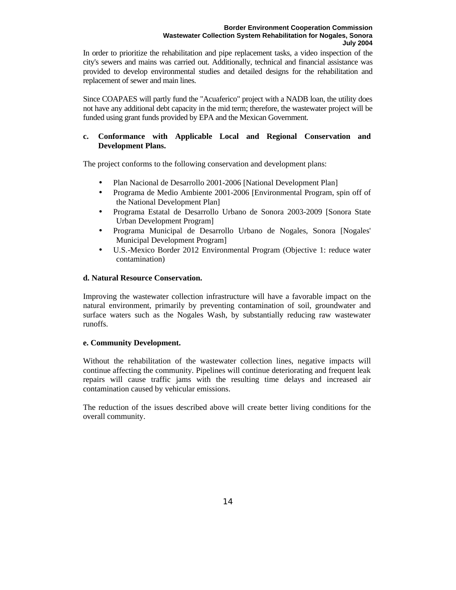In order to prioritize the rehabilitation and pipe replacement tasks, a video inspection of the city's sewers and mains was carried out. Additionally, technical and financial assistance was provided to develop environmental studies and detailed designs for the rehabilitation and replacement of sewer and main lines.

Since COAPAES will partly fund the "Acuaferico" project with a NADB loan, the utility does not have any additional debt capacity in the mid term; therefore, the wastewater project will be funded using grant funds provided by EPA and the Mexican Government.

## **c. Conformance with Applicable Local and Regional Conservation and Development Plans.**

The project conforms to the following conservation and development plans:

- Plan Nacional de Desarrollo 2001-2006 [National Development Plan]
- Programa de Medio Ambiente 2001-2006 [Environmental Program, spin off of the National Development Plan]
- Programa Estatal de Desarrollo Urbano de Sonora 2003-2009 [Sonora State Urban Development Program]
- Programa Municipal de Desarrollo Urbano de Nogales, Sonora [Nogales' Municipal Development Program]
- U.S.-Mexico Border 2012 Environmental Program (Objective 1: reduce water contamination)

## **d. Natural Resource Conservation.**

Improving the wastewater collection infrastructure will have a favorable impact on the natural environment, primarily by preventing contamination of soil, groundwater and surface waters such as the Nogales Wash, by substantially reducing raw wastewater runoffs.

## **e. Community Development.**

Without the rehabilitation of the wastewater collection lines, negative impacts will continue affecting the community. Pipelines will continue deteriorating and frequent leak repairs will cause traffic jams with the resulting time delays and increased air contamination caused by vehicular emissions.

The reduction of the issues described above will create better living conditions for the overall community.